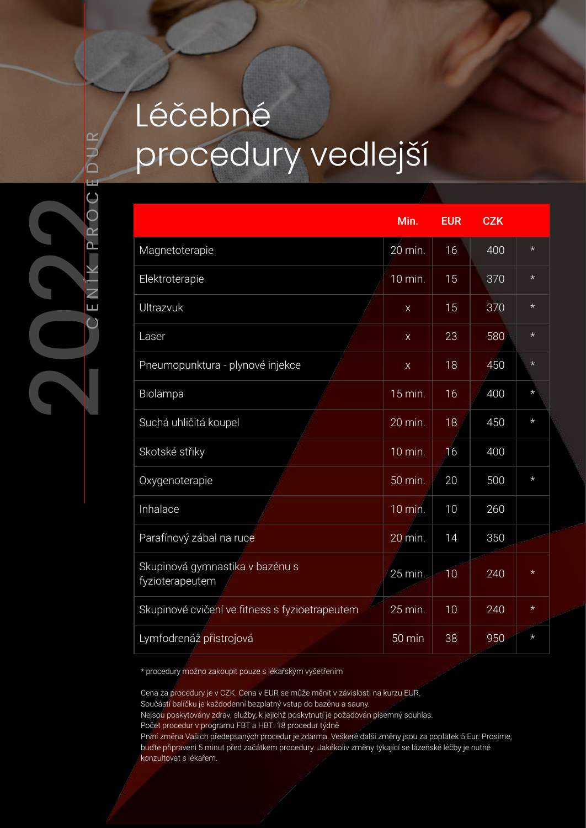## Léčebné procedury vedlejší

|                                                    | Min.              | <b>EUR</b> | <b>CZK</b> |         |
|----------------------------------------------------|-------------------|------------|------------|---------|
| Magnetoterapie                                     | $20 \text{ min.}$ | 16         | 400        | $\star$ |
| Elektroterapie                                     | 10 min.           | 15         | 370        | $\star$ |
| Ultrazvuk                                          | $\mathsf X$       | 15         | 370        | $\star$ |
| Laser                                              | $\mathsf X$       | 23         | 580        | $\star$ |
| Pneumopunktura - plynové injekce                   | $\mathsf X$       | 18         | 450        | $\star$ |
| Biolampa                                           | $15 \text{ min.}$ | 16         | 400        | $\star$ |
| Suchá uhličitá koupel                              | 20 min.           | 18         | 450        | $\star$ |
| Skotské střiky                                     | 10 min.           | 16         | 400        |         |
| Oxygenoterapie                                     | 50 min.           | 20         | 500        | $\star$ |
| Inhalace                                           | 10 min.           | 10         | 260        |         |
| Parafínový zábal na ruce                           | 20 min.           | 14         | 350        |         |
| Skupinová gymnastika v bazénu s<br>fyzioterapeutem | 25 min.           | 10         | 240        | $\star$ |
| Skupinové cvičení ve fitness s fyzioetrapeutem     | 25 min.           | 10         | 240        | $\star$ |
| Lymfodrenáž přístrojová                            | 50 min            | 38         | 950        | $\star$ |

\* procedury možno zakoupit pouze s lékařským vyšetřením

Cena za procedury je v CZK. Cena v EUR se může měnit v závislosti na kurzu EUR.

Součástí balíčku je každodenní bezplatný vstup do bazénu a sauny.

Nejsou poskytovány zdrav. služby, k jejichž poskytnutí je požadován písemný souhlas.

Počet procedur v programu FBT a HBT: 18 procedur týdně

První změna Vašich předepsaných procedur je zdarma. Veškeré další změny jsou za poplatek 5 Eur. Prosíme, buďte připraveni 5 minut před začátkem procedury. Jakékoliv změny týkající se lázeňské léčby je nutné konzultovat s lékařem.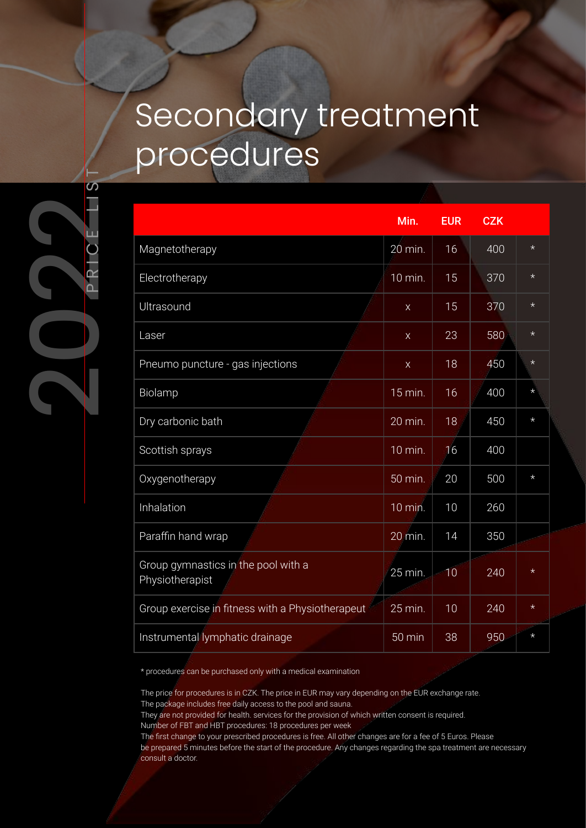## Secondary treatment procedures

|                                                        | Min.             | <b>EUR</b> | <b>CZK</b> |         |
|--------------------------------------------------------|------------------|------------|------------|---------|
| Magnetotherapy                                         | 20 min.          | 16         | 400        | $\star$ |
| Electrotherapy                                         | 10 min.          | 15         | 370        | $\star$ |
| Ultrasound                                             | $\mathsf X$      | 15         | 370        | $\star$ |
| Laser                                                  | $\mathsf X$      | 23         | 580        | $\star$ |
| Pneumo puncture - gas injections                       | $\mathsf X$      | 18         | 450        | $\star$ |
| Biolamp                                                | 15 min.          | 16         | 400        | $\star$ |
| Dry carbonic bath                                      | 20 min.          | 18         | 450        | $\star$ |
| Scottish sprays                                        | 10 min.          | 16         | 400        |         |
| Oxygenotherapy                                         | 50 min.          | 20         | 500        | $\star$ |
| Inhalation                                             | 10 min.          | 10         | 260        |         |
| Paraffin hand wrap                                     | 20 min.          | 14         | 350        |         |
| Group gymnastics in the pool with a<br>Physiotherapist | 25 min.          | $-10$      | 240        | $\star$ |
| Group exercise in fitness with a Physiotherapeut       | 25 min.          | 10         | 240        | $\star$ |
| Instrumental lymphatic drainage                        | $50 \text{ min}$ | 38         | 950        | $\star$ |

\* procedures can be purchased only with a medical examination

The price for procedures is in CZK. The price in EUR may vary depending on the EUR exchange rate. The package includes free daily access to the pool and sauna.

They are not provided for health. services for the provision of which written consent is required.

Number of FBT and HBT procedures: 18 procedures per week

The first change to your prescribed procedures is free. All other changes are for a fee of 5 Euros. Please be prepared 5 minutes before the start of the procedure. Any changes regarding the spa treatment are necessary consult a doctor.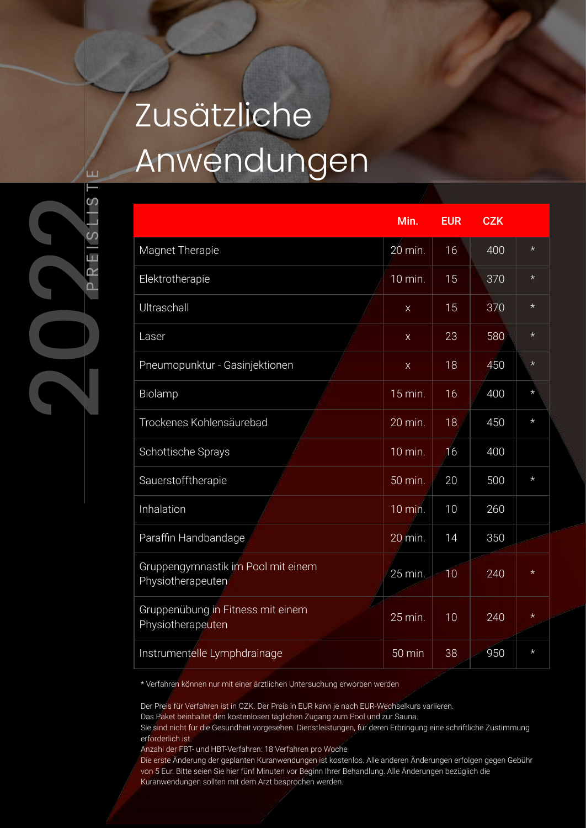## Zusätzliche Anwendungen

|                                                         | Min.                 | <b>EUR</b> | <b>CZK</b> |         |
|---------------------------------------------------------|----------------------|------------|------------|---------|
| Magnet Therapie                                         | 20 min.              | 16         | 400        | $\star$ |
| Elektrotherapie                                         | 10 min.              | 15         | 370        | $\star$ |
| Ultraschall                                             | $\mathsf{X}$         | 15         | 370        | $\star$ |
| Laser                                                   | $\mathsf X$          | 23         | 580        | $\star$ |
| Pneumopunktur - Gasinjektionen                          | $\mathsf X$          | 18         | 450        | $\star$ |
| Biolamp                                                 | $15 \,\mathrm{min.}$ | 16         | 400        | $\star$ |
| Trockenes Kohlensäurebad                                | 20 min.              | 18         | 450        | $\star$ |
| Schottische Sprays                                      | 10 min.              | 16         | 400        |         |
| Sauerstofftherapie                                      | 50 min.              | 20         | 500        | $\star$ |
| Inhalation                                              | 10 min.              | 10         | 260        |         |
| Paraffin Handbandage                                    | 20 min.              | 14         | 350        |         |
| Gruppengymnastik im Pool mit einem<br>Physiotherapeuten | 25 min.              | 10         | 240        | $\star$ |
| Gruppenübung in Fitness mit einem<br>Physiotherapeuten  | 25 min.              | 10         | 240        | $\star$ |
| Instrumentelle Lymphdrainage                            | 50 min               | 38         | 950        | $\star$ |

\* Verfahren können nur mit einer ärztlichen Untersuchung erworben werden

Der Preis für Verfahren ist in CZK. Der Preis in EUR kann je nach EUR-Wechselkurs variieren.

Das Paket beinhaltet den kostenlosen täglichen Zugang zum Pool und zur Sauna.

Sie sind nicht für die Gesundheit vorgesehen. Dienstleistungen, für deren Erbringung eine schriftliche Zustimmung erforderlich ist.

Anzahl der FBT- und HBT-Verfahren: 18 Verfahren pro Woche

Die erste Änderung der geplanten Kuranwendungen ist kostenlos. Alle anderen Änderungen erfolgen gegen Gebühr von 5 Eur. Bitte seien Sie hier fünf Minuten vor Beginn Ihrer Behandlung. Alle Änderungen bezüglich die Kuranwendungen sollten mit dem Arzt besprochen werden.